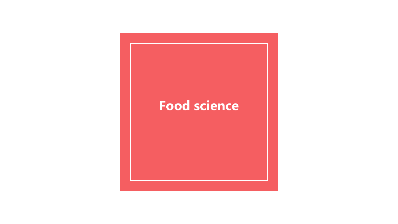# **Food science**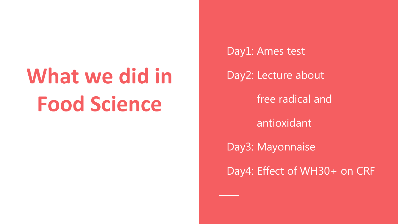# **What we did in Food Science**

Day1: Ames test Day2: Lecture about free radical and antioxidant Day3: Mayonnaise Day4: Effect of WH30+ on CRF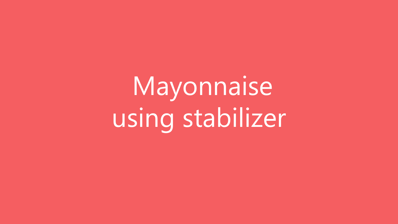Mayonnaise using stabilizer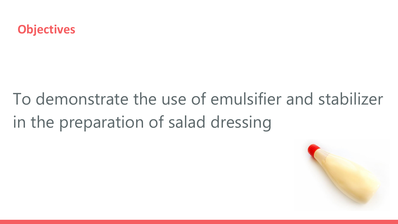

# To demonstrate the use of emulsifier and stabilizer in the preparation of salad dressing

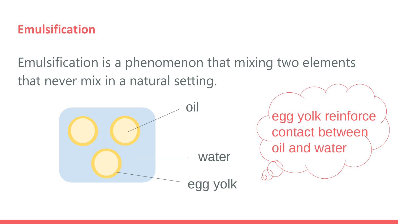#### **Emulsification**

Emulsification is a phenomenon that mixing two elements that never mix in a natural setting.



egg yolk reinforce contact between oil and water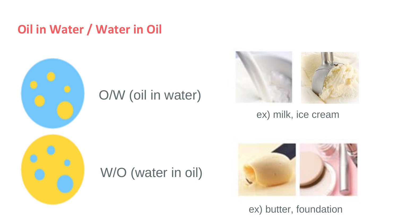#### **Oil in Water / Water in Oil**



## O/W (oil in water)



ex) milk, ice cream

# W/O (water in oil)



ex) butter, foundation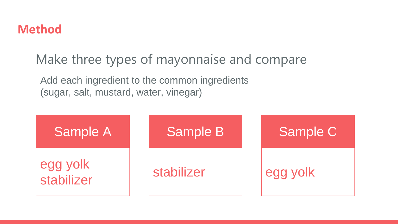

Make three types of mayonnaise and compare

Add each ingredient to the common ingredients (sugar, salt, mustard, water, vinegar)

| <b>Sample A</b>        | <b>Sample B</b> | Sample C |
|------------------------|-----------------|----------|
| egg yolk<br>stabilizer | stabilizer      | egg yolk |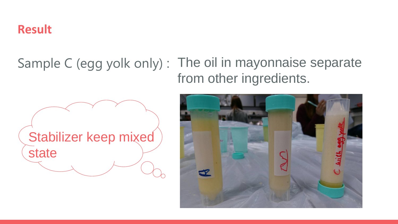#### **Result**

### Sample C (egg yolk only) : The oil in mayonnaise separate from other ingredients.



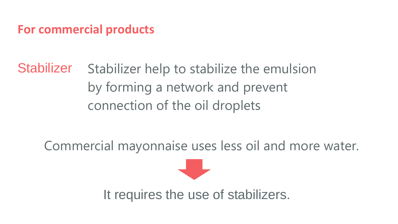#### **For commercial products**

Stabilizer Stabilizer help to stabilize the emulsion by forming a network and prevent connection of the oil droplets

Commercial mayonnaise uses less oil and more water.



It requires the use of stabilizers.